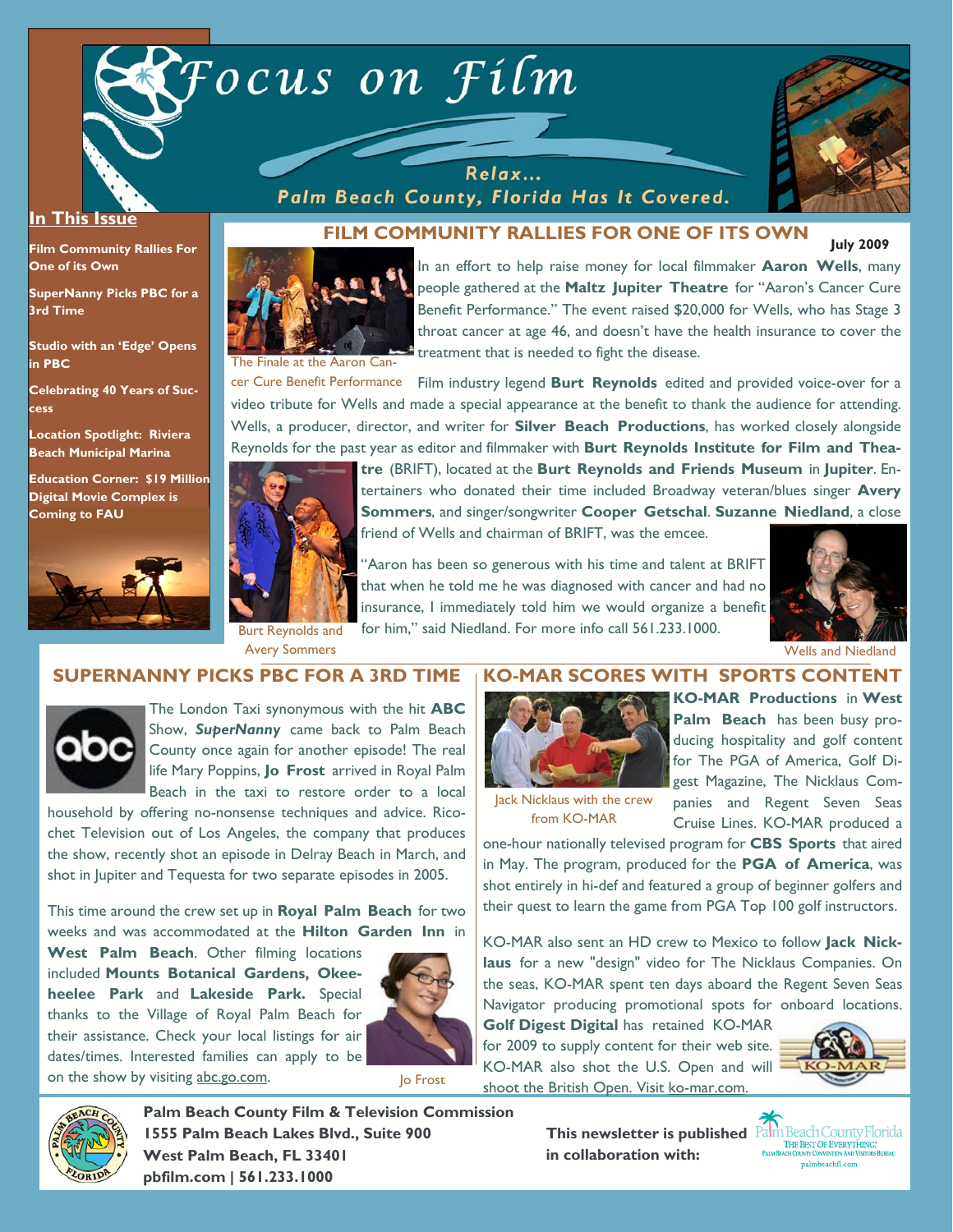

Relax... Palm Beach County, Florida Has It Covered.



#### **In This Issue**

**Film Community Rallies For One of its Own** 

**SuperNanny Picks PBC for a 3rd Time** 

**Studio with an 'Edge' Opens in PBC** 

**Celebrating 40 Years of Success** 

**Location Spotlight: Riviera Beach Municipal Marina** 

**Education Corner: \$19 Million Digital Movie Complex is Coming to FAU**



#### **July 2009 FILM COMMUNITY RALLIES FOR ONE OF ITS OWN**



In an effort to help raise money for local filmmaker **Aaron Wells**, many people gathered at the **Maltz Jupiter Theatre** for "Aaron's Cancer Cure Benefit Performance." The event raised \$20,000 for Wells, who has Stage 3 throat cancer at age 46, and doesn't have the health insurance to cover the treatment that is needed to fight the disease.

cer Cure Benefit Performance Film industry legend Burt Reynolds edited and provided voice-over for a video tribute for Wells and made a special appearance at the benefit to thank the audience for attending. Wells, a producer, director, and writer for **Silver Beach Productions**, has worked closely alongside Reynolds for the past year as editor and filmmaker with **Burt Reynolds Institute for Film and Thea-**



**tre** (BRIFT), located at the **Burt Reynolds and Friends Museum** in **Jupiter**. Entertainers who donated their time included Broadway veteran/blues singer **Avery Sommers**, and singer/songwriter **Cooper Getschal**. **Suzanne Niedland**, a close

friend of Wells and chairman of BRIFT, was the emcee.

"Aaron has been so generous with his time and talent at BRIFT that when he told me he was diagnosed with cancer and had no insurance, I immediately told him we would organize a benefit for him," said Niedland. For more info call 561.233.1000.



Avery Sommers **Avery Sommers** Wells and Niedland Niedland Niedland Niedland Niedland Niedland Niedland Niedland Niedland Niedland Niedland Niedland Niedland Niedland Niedland Niedland Niedland Niedland Niedland Niedland Ni

## **SUPERNANNY PICKS PBC FOR A 3RD TIME**



The London Taxi synonymous with the hit **ABC** Show, *SuperNanny* came back to Palm Beach County once again for another episode! The real life Mary Poppins, **Jo Frost** arrived in Royal Palm Beach in the taxi to restore order to a local

household by offering no-nonsense techniques and advice. Ricochet Television out of Los Angeles, the company that produces the show, recently shot an episode in Delray Beach in March, and shot in Jupiter and Tequesta for two separate episodes in 2005.

This time around the crew set up in **Royal Palm Beach** for two weeks and was accommodated at the **Hilton Garden Inn** in

**West Palm Beach**. Other filming locations included **Mounts Botanical Gardens, Okeeheelee Park** and **Lakeside Park.** Special thanks to the Village of Royal Palm Beach for their assistance. Check your local listings for air dates/times. Interested families can apply to be on the show by visiting abc.go.com.<br>Jo Frost



#### **KO-MAR SCORES WITH SPORTS CONTENT**



**KO-MAR Productions** in **West Palm Beach** has been busy producing hospitality and golf content for The PGA of America, Golf Digest Magazine, The Nicklaus Companies and Regent Seven Seas Cruise Lines. KO-MAR produced a

lack Nicklaus with the crew from KO-MAR

one-hour nationally televised program for **CBS Sports** that aired in May. The program, produced for the **PGA of America**, was shot entirely in hi-def and featured a group of beginner golfers and their quest to learn the game from PGA Top 100 golf instructors.

KO-MAR also sent an HD crew to Mexico to follow **Jack Nicklaus** for a new "design" video for The Nicklaus Companies. On the seas, KO-MAR spent ten days aboard the Regent Seven Seas Navigator producing promotional spots for onboard locations.

**Golf Digest Digital** has retained KO-MAR for 2009 to supply content for their web site. KO-MAR also shot the U.S. Open and will shoot the British Open. Visit ko-mar.com.





**Palm Beach County Film & Television Commission 1555 Palm Beach Lakes Blvd., Suite 900 West Palm Beach, FL 33401 pbfilm.com | 561.233.1000** 

**This newsletter is published in collaboration with:**

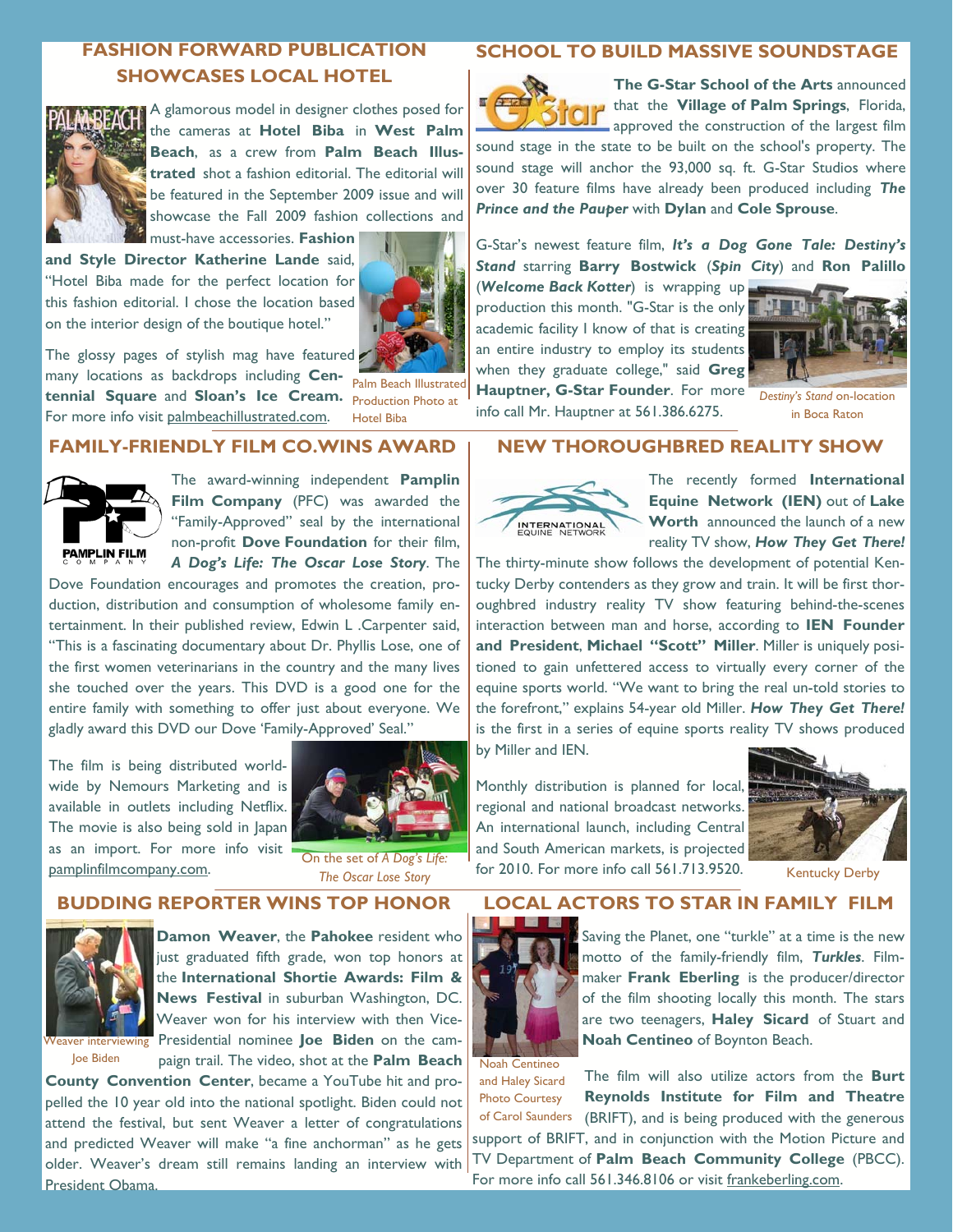# **FASHION FORWARD PUBLICATION SHOWCASES LOCAL HOTEL**



A glamorous model in designer clothes posed for the cameras at **Hotel Biba** in **West Palm Beach**, as a crew from **Palm Beach Illustrated** shot a fashion editorial. The editorial will be featured in the September 2009 issue and will showcase the Fall 2009 fashion collections and must-have accessories. **Fashion** 

**and Style Director Katherine Lande** said, "Hotel Biba made for the perfect location for this fashion editorial. I chose the location based on the interior design of the boutique hotel."



The glossy pages of stylish mag have featured many locations as backdrops including **Centennial Square** and **Sloan's Ice Cream.**  Production Photo at For more info visit palmbeachillustrated.com.

Palm Beach Illustrated Hotel Biba

## **FAMILY-FRIENDLY FILM CO.WINS AWARD**



The award-winning independent **Pamplin Film Company** (PFC) was awarded the "Family-Approved" seal by the international non-profit **Dove Foundation** for their film, *A Dog's Life: The Oscar Lose Story*. The

Dove Foundation encourages and promotes the creation, production, distribution and consumption of wholesome family entertainment. In their published review, Edwin L .Carpenter said, "This is a fascinating documentary about Dr. Phyllis Lose, one of the first women veterinarians in the country and the many lives she touched over the years. This DVD is a good one for the entire family with something to offer just about everyone. We gladly award this DVD our Dove 'Family-Approved' Seal."

The film is being distributed worldwide by Nemours Marketing and is available in outlets including Netflix. The movie is also being sold in Japan as an import. For more info visit pamplinfilmcompany.com. On the set of *A Dog's Life:* 



*The Oscar Lose Story* 

## **BUDDING REPORTER WINS TOP HONOR**



Joe Biden

**Damon Weaver**, the **Pahokee** resident who just graduated fifth grade, won top honors at the **International Shortie Awards: Film & News Festival** in suburban Washington, DC. Weaver won for his interview with then Vice-Weaver interviewing Presidential nominee **Joe Biden** on the campaign trail. The video, shot at the **Palm Beach** 

**County Convention Center**, became a YouTube hit and propelled the 10 year old into the national spotlight. Biden could not attend the festival, but sent Weaver a letter of congratulations and predicted Weaver will make "a fine anchorman" as he gets older. Weaver's dream still remains landing an interview with President Obama.

## **SCHOOL TO BUILD MASSIVE SOUNDSTAGE**



**The G-Star School of the Arts** announced that the **Village of Palm Springs**, Florida, approved the construction of the largest film

sound stage in the state to be built on the school's property. The sound stage will anchor the 93,000 sq. ft. G-Star Studios where over 30 feature films have already been produced including *The Prince and the Pauper* with **Dylan** and **Cole Sprouse**.

G-Star's newest feature film, *It's a Dog Gone Tale: Destiny's Stand* starring **Barry Bostwick** (*Spin City*) and **Ron Palillo** 

(*Welcome Back Kotter*) is wrapping up production this month. "G-Star is the only academic facility I know of that is creating an entire industry to employ its students when they graduate college," said **Greg Hauptner, G-Star Founder**. For more info call Mr. Hauptner at 561.386.6275.



*Destiny's Stand* on-location in Boca Raton

## **NEW THOROUGHBRED REALITY SHOW**



The recently formed **International Equine Network (IEN)** out of **Lake Worth** announced the launch of a new reality TV show, *How They Get There!* 

The thirty-minute show follows the development of potential Kentucky Derby contenders as they grow and train. It will be first thoroughbred industry reality TV show featuring behind-the-scenes interaction between man and horse, according to **IEN Founder and President**, **Michael "Scott" Miller**. Miller is uniquely positioned to gain unfettered access to virtually every corner of the equine sports world. "We want to bring the real un-told stories to the forefront," explains 54-year old Miller. *How They Get There!* is the first in a series of equine sports reality TV shows produced by Miller and IEN.

Monthly distribution is planned for local, regional and national broadcast networks. An international launch, including Central and South American markets, is projected for 2010. For more info call 561.713.9520.



Kentucky Derby

## **LOCAL ACTORS TO STAR IN FAMILY FILM**



Saving the Planet, one "turkle" at a time is the new motto of the family-friendly film, *Turkles*. Filmmaker **Frank Eberling** is the producer/director of the film shooting locally this month. The stars are two teenagers, **Haley Sicard** of Stuart and **Noah Centineo** of Boynton Beach.

Noah Centineo and Haley Sicard

The film will also utilize actors from the **Burt Reynolds Institute for Film and Theatre**  (BRIFT), and is being produced with the generous support of BRIFT, and in conjunction with the Motion Picture and TV Department of **Palm Beach Community College** (PBCC). For more info call 561.346.8106 or visit frankeberling.com. Photo Courtesy of Carol Saunders

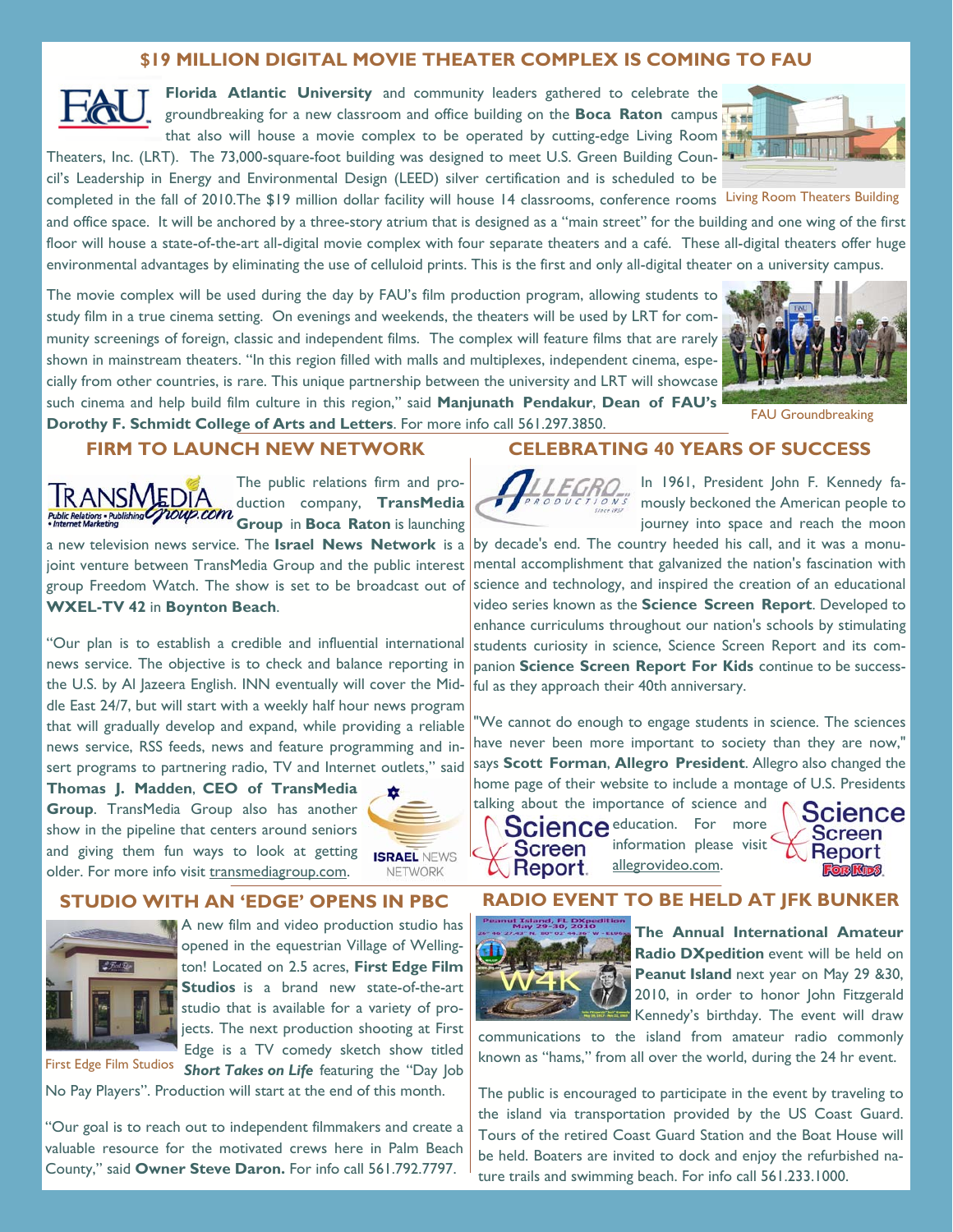## **\$19 MILLION DIGITAL MOVIE THEATER COMPLEX IS COMING TO FAU**

**Florida Atlantic University** and community leaders gathered to celebrate the groundbreaking for a new classroom and office building on the **Boca Raton** campus that also will house a movie complex to be operated by cutting-edge Living Room

Theaters, Inc. (LRT). The 73,000-square-foot building was designed to meet U.S. Green Building Council's Leadership in Energy and Environmental Design (LEED) silver certification and is scheduled to be

completed in the fall of 2010. The \$19 million dollar facility will house 14 classrooms, conference rooms Living Room Theaters Building

and office space. It will be anchored by a three-story atrium that is designed as a "main street" for the building and one wing of the first floor will house a state-of-the-art all-digital movie complex with four separate theaters and a café. These all-digital theaters offer huge environmental advantages by eliminating the use of celluloid prints. This is the first and only all-digital theater on a university campus.

The movie complex will be used during the day by FAU's film production program, allowing students to study film in a true cinema setting. On evenings and weekends, the theaters will be used by LRT for community screenings of foreign, classic and independent films. The complex will feature films that are rarely shown in mainstream theaters. "In this region filled with malls and multiplexes, independent cinema, especially from other countries, is rare. This unique partnership between the university and LRT will showcase such cinema and help build film culture in this region," said **Manjunath Pendakur**, **Dean of FAU's Dorothy F. Schmidt College of Arts and Letters**. For more info call 561.297.3850.



FAU Groundbreaking

#### **FIRM TO LAUNCH NEW NETWORK**



The public relations firm and production company, **TransMedia Group** in **Boca Raton** is launching

a new television news service. The **Israel News Network** is a joint venture between TransMedia Group and the public interest group Freedom Watch. The show is set to be broadcast out of **WXEL-TV 42** in **Boynton Beach**.

"Our plan is to establish a credible and influential international news service. The objective is to check and balance reporting in the U.S. by Al Jazeera English. INN eventually will cover the Middle East 24/7, but will start with a weekly half hour news program that will gradually develop and expand, while providing a reliable news service, RSS feeds, news and feature programming and insert programs to partnering radio, TV and Internet outlets," said

**Thomas J. Madden**, **CEO of TransMedia Group**. TransMedia Group also has another show in the pipeline that centers around seniors and giving them fun ways to look at getting older. For more info visit transmediagroup.com.



**ISRAEL NEWS** NETWORK

#### **STUDIO WITH AN 'EDGE' OPENS IN PBC**



A new film and video production studio has opened in the equestrian Village of Wellington! Located on 2.5 acres, **First Edge Film Studios** is a brand new state-of-the-art studio that is available for a variety of projects. The next production shooting at First Edge is a TV comedy sketch show titled

**Short Takes on Life** featuring the "Day Job First Edge Film Studios

No Pay Players". Production will start at the end of this month.

"Our goal is to reach out to independent filmmakers and create a valuable resource for the motivated crews here in Palm Beach County," said **Owner Steve Daron.** For info call 561.792.7797.

## **CELEBRATING 40 YEARS OF SUCCESS**

In 1961, President John F. Kennedy famously beckoned the American people to journey into space and reach the moon

by decade's end. The country heeded his call, and it was a monumental accomplishment that galvanized the nation's fascination with science and technology, and inspired the creation of an educational video series known as the **Science Screen Report**. Developed to enhance curriculums throughout our nation's schools by stimulating students curiosity in science, Science Screen Report and its companion **Science Screen Report For Kids** continue to be successful as they approach their 40th anniversary.

We cannot do enough to engage students in science. The sciences have never been more important to society than they are now," says **Scott Forman**, **Allegro President**. Allegro also changed the home page of their website to include a montage of U.S. Presidents

talking about the importance of science and

Science education. For more information please visit **Screen** allegrovideo.com.  $\mathbb{A}% _{\alpha}$  Report.



## **RADIO EVENT TO BE HELD AT JFK BUNKER**



**The Annual International Amateur Radio DXpedition** event will be held on **Peanut Island** next year on May 29 &30, 2010, in order to honor John Fitzgerald Kennedy's birthday. The event will draw

communications to the island from amateur radio commonly known as "hams," from all over the world, during the 24 hr event.

The public is encouraged to participate in the event by traveling to the island via transportation provided by the US Coast Guard. Tours of the retired Coast Guard Station and the Boat House will be held. Boaters are invited to dock and enjoy the refurbished nature trails and swimming beach. For info call 561.233.1000.